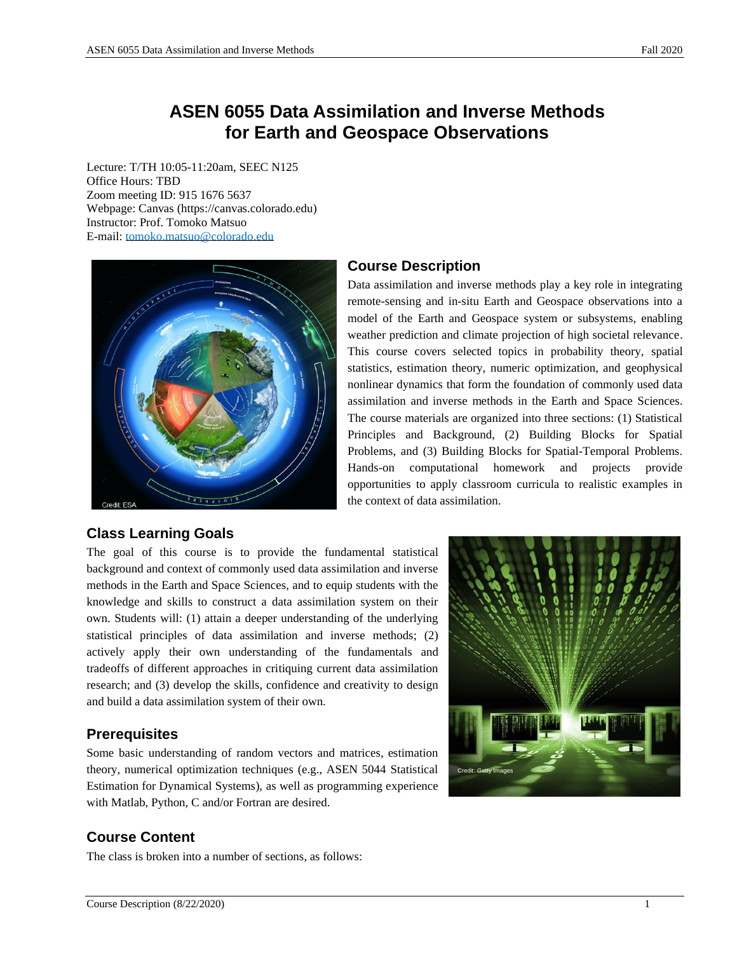# **ASEN 6055 Data Assimilation and Inverse Methods for Earth and Geospace Observations**

Lecture: T/TH 10:05-11:20am, SEEC N125 Office Hours: TBD Zoom meeting ID: 915 1676 5637 Webpage: Canvas (https://canvas.colorado.edu) Instructor: Prof. Tomoko Matsuo E-mail: [tomoko.matsuo@colorado.edu](mailto:tomoko.matsuo@colorado.edu)



# **Course Description**

Data assimilation and inverse methods play a key role in integrating remote-sensing and in-situ Earth and Geospace observations into a model of the Earth and Geospace system or subsystems, enabling weather prediction and climate projection of high societal relevance. This course covers selected topics in probability theory, spatial statistics, estimation theory, numeric optimization, and geophysical nonlinear dynamics that form the foundation of commonly used data assimilation and inverse methods in the Earth and Space Sciences. The course materials are organized into three sections: (1) Statistical Principles and Background, (2) Building Blocks for Spatial Problems, and (3) Building Blocks for Spatial-Temporal Problems. Hands-on computational homework and projects provide opportunities to apply classroom curricula to realistic examples in the context of data assimilation.

# **Class Learning Goals**

The goal of this course is to provide the fundamental statistical background and context of commonly used data assimilation and inverse methods in the Earth and Space Sciences, and to equip students with the knowledge and skills to construct a data assimilation system on their own. Students will: (1) attain a deeper understanding of the underlying statistical principles of data assimilation and inverse methods; (2) actively apply their own understanding of the fundamentals and tradeoffs of different approaches in critiquing current data assimilation research; and (3) develop the skills, confidence and creativity to design and build a data assimilation system of their own.

# **Prerequisites**

Some basic understanding of random vectors and matrices, estimation theory, numerical optimization techniques (e.g., ASEN 5044 Statistical Estimation for Dynamical Systems), as well as programming experience with Matlab, Python, C and/or Fortran are desired.



The class is broken into a number of sections, as follows:

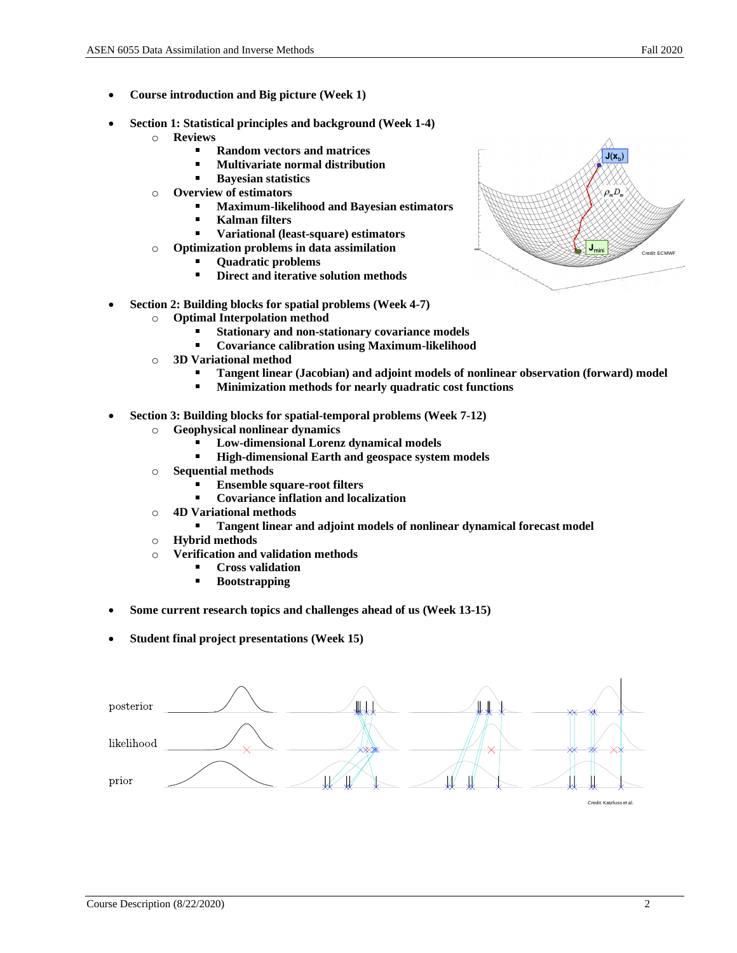- **Course introduction and Big picture (Week 1)**
- **Section 1: Statistical principles and background (Week 1-4)**
	- o **Reviews**
		- **Random vectors and matrices**
		- ä. **Multivariate normal distribution**
		- **Bayesian statistics**  $\blacksquare$
	- o **Overview of estimators**
		- **Maximum-likelihood and Bayesian estimators**
		- **Kalman filters**
		- **Variational (least-square) estimators**
	- o **Optimization problems in data assimilation**
		- **Quadratic problems**
		- **Direct and iterative solution methods** ×,
- **Section 2: Building blocks for spatial problems (Week 4-7)**
	- o **Optimal Interpolation method**
		- **Stationary and non-stationary covariance models**
		- $\blacksquare$ **Covariance calibration using Maximum-likelihood**
	- o **3D Variational method**
		- **Tangent linear (Jacobian) and adjoint models of nonlinear observation (forward) model**
		- ×, **Minimization methods for nearly quadratic cost functions**
- **Section 3: Building blocks for spatial-temporal problems (Week 7-12)**
	- o **Geophysical nonlinear dynamics** 
		- $\blacksquare$ **Low-dimensional Lorenz dynamical models**
		- ×. **High-dimensional Earth and geospace system models**
	- o **Sequential methods**
		- **Ensemble square-root filters**
		- $\blacksquare$ **Covariance inflation and localization**
	- o **4D Variational methods**
		- **Tangent linear and adjoint models of nonlinear dynamical forecast model**
	- o **Hybrid methods**
	- o **Verification and validation methods**
		- **Cross validation**
		- **Bootstrapping**
- **Some current research topics and challenges ahead of us (Week 13-15)**
- **Student final project presentations (Week 15)**



![](_page_1_Figure_38.jpeg)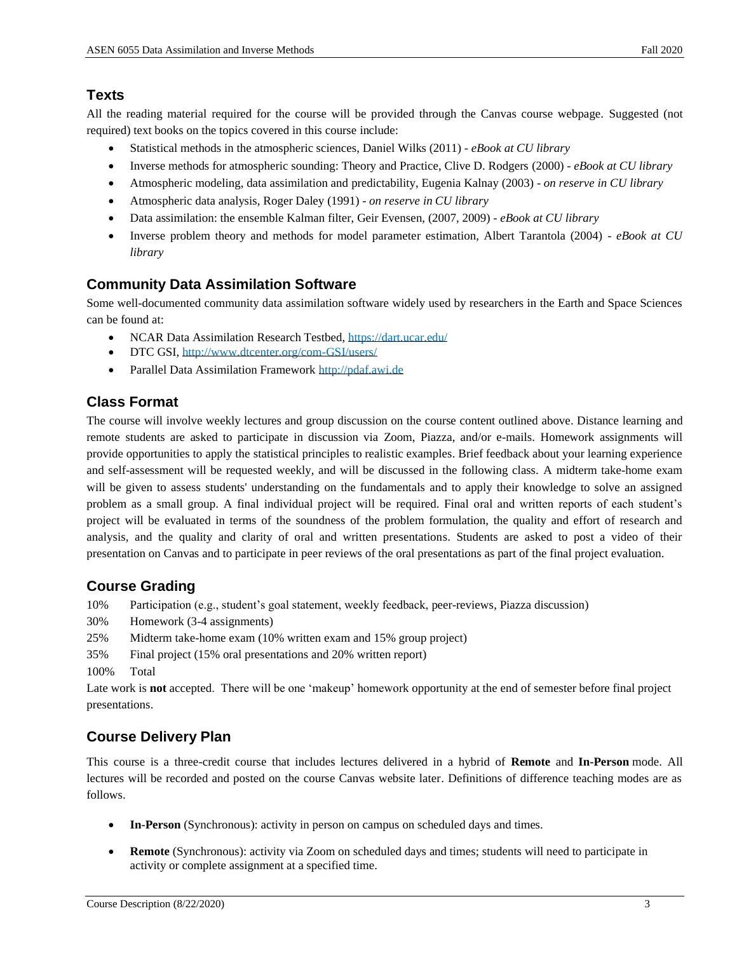# **Texts**

All the reading material required for the course will be provided through the Canvas course webpage. Suggested (not required) text books on the topics covered in this course include:

- Statistical methods in the atmospheric sciences, Daniel Wilks (2011) *- eBook at CU library*
- Inverse methods for atmospheric sounding: Theory and Practice, Clive D. Rodgers (2000) *- eBook at CU library*
- Atmospheric modeling, data assimilation and predictability, Eugenia Kalnay (2003) *on reserve in CU library*
- Atmospheric data analysis, Roger Daley (1991) *on reserve in CU library*
- Data assimilation: the ensemble Kalman filter, Geir Evensen, (2007, 2009) *- eBook at CU library*
- Inverse problem theory and methods for model parameter estimation, Albert Tarantola (2004) *- eBook at CU library*

# **Community Data Assimilation Software**

Some well-documented community data assimilation software widely used by researchers in the Earth and Space Sciences can be found at:

- NCAR Data Assimilation Research Testbed,<https://dart.ucar.edu/>
- DTC GSI[, http://www.dtcenter.org/com-GSI/users/](http://www.dtcenter.org/com-GSI/users/)
- Parallel Data Assimilation Framewor[k http://pdaf.awi.de](http://pdaf.awi.de/)

# **Class Format**

The course will involve weekly lectures and group discussion on the course content outlined above. Distance learning and remote students are asked to participate in discussion via Zoom, Piazza, and/or e-mails. Homework assignments will provide opportunities to apply the statistical principles to realistic examples. Brief feedback about your learning experience and self-assessment will be requested weekly, and will be discussed in the following class. A midterm take-home exam will be given to assess students' understanding on the fundamentals and to apply their knowledge to solve an assigned problem as a small group. A final individual project will be required. Final oral and written reports of each student's project will be evaluated in terms of the soundness of the problem formulation, the quality and effort of research and analysis, and the quality and clarity of oral and written presentations. Students are asked to post a video of their presentation on Canvas and to participate in peer reviews of the oral presentations as part of the final project evaluation.

# **Course Grading**

10% Participation (e.g., student's goal statement, weekly feedback, peer-reviews, Piazza discussion)

- 30% Homework (3-4 assignments)
- 25% Midterm take-home exam (10% written exam and 15% group project)
- 35% Final project (15% oral presentations and 20% written report)

100% Total

Late work is **not** accepted. There will be one 'makeup' homework opportunity at the end of semester before final project presentations.

# **Course Delivery Plan**

This course is a three-credit course that includes lectures delivered in a hybrid of **Remote** and **In-Person** mode. All lectures will be recorded and posted on the course Canvas website later. Definitions of difference teaching modes are as follows.

- **In-Person** (Synchronous): activity in person on campus on scheduled days and times.
- **Remote** (Synchronous): activity via Zoom on scheduled days and times; students will need to participate in activity or complete assignment at a specified time.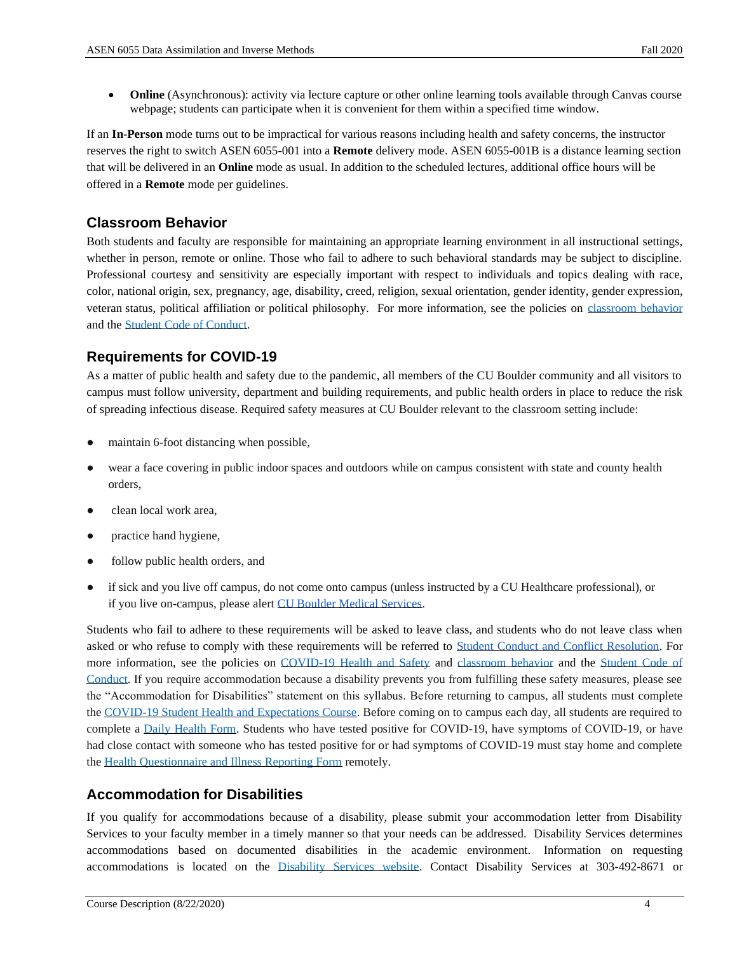• **Online** (Asynchronous): activity via lecture capture or other online learning tools available through Canvas course webpage; students can participate when it is convenient for them within a specified time window.

If an **In-Person** mode turns out to be impractical for various reasons including health and safety concerns, the instructor reserves the right to switch ASEN 6055-001 into a **Remote** delivery mode. ASEN 6055-001B is a distance learning section that will be delivered in an **Online** mode as usual. In addition to the scheduled lectures, additional office hours will be offered in a **Remote** mode per guidelines.

#### **Classroom Behavior**

Both students and faculty are responsible for maintaining an appropriate learning environment in all instructional settings, whether in person, remote or online. Those who fail to adhere to such behavioral standards may be subject to discipline. Professional courtesy and sensitivity are especially important with respect to individuals and topics dealing with race, color, national origin, sex, pregnancy, age, disability, creed, religion, sexual orientation, gender identity, gender expression, veteran status, political affiliation or political philosophy. For more information, see the policies on [classroom behavior](http://www.colorado.edu/policies/student-classroom-and-course-related-behavior) and th[e Student Code of Conduct.](https://www.colorado.edu/sccr/sites/default/files/attached-files/2019-2020_student_code_of_conduct_0.pdf)

# **Requirements for COVID-19**

As a matter of public health and safety due to the pandemic, all members of the CU Boulder community and all visitors to campus must follow university, department and building requirements, and public health orders in place to reduce the risk of spreading infectious disease. Required safety measures at CU Boulder relevant to the classroom setting include:

- maintain 6-foot distancing when possible,
- wear a face covering in public indoor spaces and outdoors while on campus consistent with state and county health orders,
- clean local work area,
- practice hand hygiene,
- follow public health orders, and
- if sick and you live off campus, do not come onto campus (unless instructed by a CU Healthcare professional), or if you live on-campus, please alert [CU Boulder Medical Services.](https://www.colorado.edu/healthcenter/coronavirus-updates/symptoms-and-what-do-if-you-feel-sick)

Students who fail to adhere to these requirements will be asked to leave class, and students who do not leave class when asked or who refuse to comply with these requirements will be referred to [Student Conduct and Conflict Resolution.](https://www.colorado.edu/sccr/) For more information, see the policies on [COVID-19 Health and Safety](https://www.colorado.edu/policies/covid-19-health-and-safety-policy) and [classroom behavior](http://www.colorado.edu/policies/student-classroom-and-course-related-behavior) and the Student Code of [Conduct.](http://www.colorado.edu/osccr/) If you require accommodation because a disability prevents you from fulfilling these safety measures, please see the "Accommodation for Disabilities" statement on this syllabus. Before returning to campus, all students must complete the [COVID-19 Student Health and Expectations Course.](https://www.colorado.edu/protect-our-herd/how#anchor1) Before coming on to campus each day, all students are required to complete a [Daily Health Form.](https://www.colorado.edu/protect-our-herd/daily-health-form) Students who have tested positive for COVID-19, have symptoms of COVID-19, or have had close contact with someone who has tested positive for or had symptoms of COVID-19 must stay home and complete the [Health Questionnaire and Illness Reporting Form](https://www.colorado.edu/protect-our-herd/daily-health-form) remotely.

#### **Accommodation for Disabilities**

If you qualify for accommodations because of a disability, please submit your accommodation letter from Disability Services to your faculty member in a timely manner so that your needs can be addressed. Disability Services determines accommodations based on documented disabilities in the academic environment. Information on requesting accommodations is located on the [Disability Services website.](https://www.colorado.edu/disabilityservices/) Contact Disability Services at 303-492-8671 or